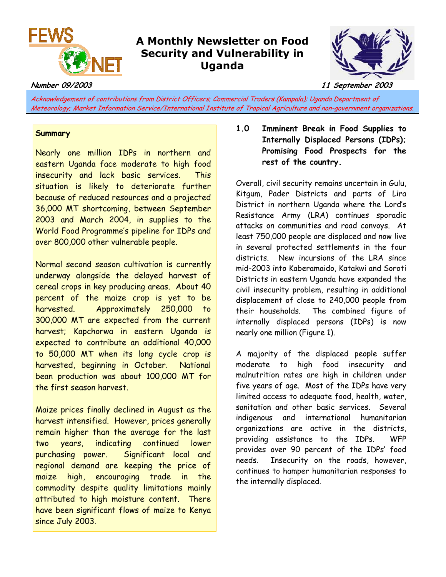

# **A Monthly Newsletter on Food Security and Vulnerability in Uganda**



**Number 09/2003 11 September 2003** 

Acknowledgement of contributions from District Officers; Commercial Traders (Kampala); Uganda Department of Meteorology; Market Information Service/International Institute of Tropical Agriculture and non-government organizations.

## **Summary**

Nearly one million IDPs in northern and eastern Uganda face moderate to high food insecurity and lack basic services. This situation is likely to deteriorate further because of reduced resources and a projected 36,000 MT shortcoming, between September 2003 and March 2004, in supplies to the World Food Programme's pipeline for IDPs and over 800,000 other vulnerable people.

Normal second season cultivation is currently underway alongside the delayed harvest of cereal crops in key producing areas. About 40 percent of the maize crop is yet to be harvested. Approximately 250,000 to 300,000 MT are expected from the current harvest; Kapchorwa in eastern Uganda is expected to contribute an additional 40,000 to 50,000 MT when its long cycle crop is harvested, beginning in October. National bean production was about 100,000 MT for the first season harvest.

Maize prices finally declined in August as the harvest intensified. However, prices generally remain higher than the average for the last two years, indicating continued lower purchasing power. Significant local and regional demand are keeping the price of maize high, encouraging trade in the commodity despite quality limitations mainly attributed to high moisture content. There have been significant flows of maize to Kenya since July 2003.

# **1.0 Imminent Break in Food Supplies to Internally Displaced Persons (IDPs); Promising Food Prospects for the rest of the country.**

Overall, civil security remains uncertain in Gulu, Kitgum, Pader Districts and parts of Lira District in northern Uganda where the Lord's Resistance Army (LRA) continues sporadic attacks on communities and road convoys. At least 750,000 people are displaced and now live in several protected settlements in the four districts. New incursions of the LRA since mid-2003 into Kaberamaido, Katakwi and Soroti Districts in eastern Uganda have expanded the civil insecurity problem, resulting in additional displacement of close to 240,000 people from their households. The combined figure of internally displaced persons (IDPs) is now nearly one million (Figure 1).

A majority of the displaced people suffer moderate to high food insecurity and malnutrition rates are high in children under five years of age. Most of the IDPs have very limited access to adequate food, health, water, sanitation and other basic services. Several indigenous and international humanitarian organizations are active in the districts, providing assistance to the IDPs. WFP provides over 90 percent of the IDPs' food needs. Insecurity on the roads, however, continues to hamper humanitarian responses to the internally displaced.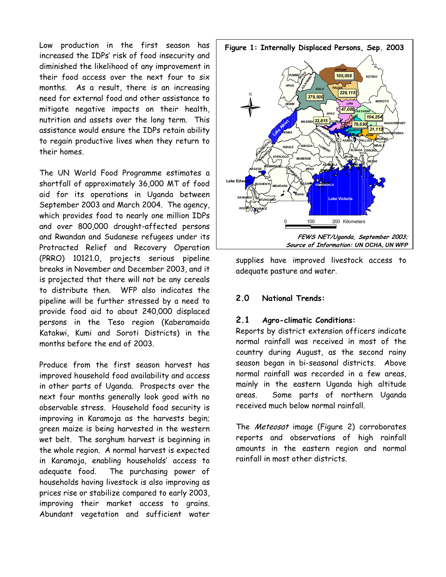Low production in the first season has increased the IDPs' risk of food insecurity and diminished the likelihood of any improvement in their food access over the next four to six months. As a result, there is an increasing need for external food and other assistance to mitigate negative impacts on their health, nutrition and assets over the long term. This assistance would ensure the IDPs retain ability to regain productive lives when they return to their homes.

The UN World Food Programme estimates a shortfall of approximately 36,000 MT of food aid for its operations in Uganda between September 2003 and March 2004. The agency, which provides food to nearly one million IDPs and over 800,000 drought-affected persons and Rwandan and Sudanese refugees under its Protracted Relief and Recovery Operation (PRRO) 10121.0, projects serious pipeline breaks in November and December 2003, and it is projected that there will not be any cereals to distribute then. WFP also indicates the pipeline will be further stressed by a need to provide food aid to about 240,000 displaced persons in the Teso region (Kaberamaido Katakwi, Kumi and Soroti Districts) in the months before the end of 2003.

Produce from the first season harvest has improved household food availability and access in other parts of Uganda. Prospects over the next four months generally look good with no observable stress. Household food security is improving in Karamoja as the harvests begin; green maize is being harvested in the western wet belt. The sorghum harvest is beginning in the whole region. A normal harvest is expected in Karamoja, enabling households' access to adequate food. The purchasing power of households having livestock is also improving as prices rise or stabilize compared to early 2003, improving their market access to grains. Abundant vegetation and sufficient water



supplies have improved livestock access to adequate pasture and water.

### **2.0 National Trends:**

#### **2.1 Agro-climatic Conditions:**

Reports by district extension officers indicate normal rainfall was received in most of the country during August, as the second rainy season began in bi-seasonal districts. Above normal rainfall was recorded in a few areas, mainly in the eastern Uganda high altitude areas. Some parts of northern Uganda received much below normal rainfall.

The Meteosat image (Figure 2) corroborates reports and observations of high rainfall amounts in the eastern region and normal rainfall in most other districts.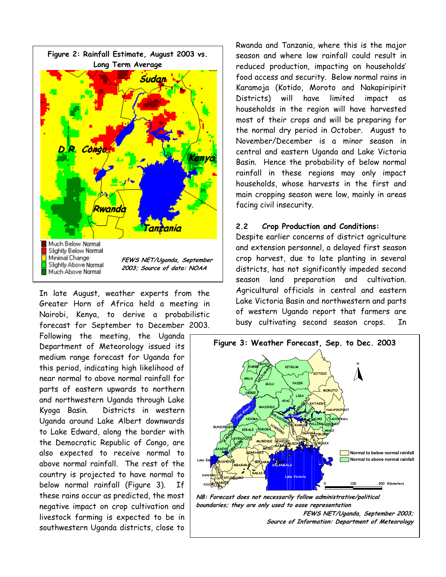

In late August, weather experts from the Greater Horn of Africa held a meeting in Nairobi, Kenya, to derive a probabilistic forecast for September to December 2003.

Following the meeting, the Uganda Department of Meteorology issued its medium range forecast for Uganda for this period, indicating high likelihood of near normal to above normal rainfall for parts of eastern upwards to northern and northwestern Uganda through Lake Kyoga Basin. Districts in western Uganda around Lake Albert downwards to Lake Edward, along the border with the Democratic Republic of Congo, are also expected to receive normal to above normal rainfall. The rest of the country is projected to have normal to below normal rainfall (Figure 3). If these rains occur as predicted, the most negative impact on crop cultivation and livestock farming is expected to be in southwestern Uganda districts, close to

Rwanda and Tanzania, where this is the major season and where low rainfall could result in reduced production, impacting on households' food access and security. Below normal rains in Karamoja (Kotido, Moroto and Nakapiripirit Districts) will have limited impact as households in the region will have harvested most of their crops and will be preparing for the normal dry period in October. August to November/December is a minor season in central and eastern Uganda and Lake Victoria Basin. Hence the probability of below normal rainfall in these regions may only impact households, whose harvests in the first and main cropping season were low, mainly in areas facing civil insecurity.

#### **2.2 Crop Production and Conditions:**

Despite earlier concerns of district agriculture and extension personnel, a delayed first season crop harvest, due to late planting in several districts, has not significantly impeded second season land preparation and cultivation. Agricultural officials in central and eastern Lake Victoria Basin and northwestern and parts of western Uganda report that farmers are busy cultivating second season crops. In



**boundaries; they are only used to ease representation FEWS NET/Uganda, September 2003; Source of Information: Department of Meteorology**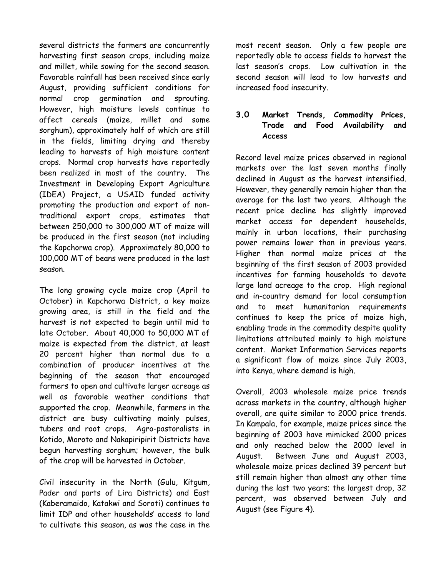several districts the farmers are concurrently harvesting first season crops, including maize and millet, while sowing for the second season. Favorable rainfall has been received since early August, providing sufficient conditions for normal crop germination and sprouting. However, high moisture levels continue to affect cereals (maize, millet and some sorghum), approximately half of which are still in the fields, limiting drying and thereby leading to harvests of high moisture content crops. Normal crop harvests have reportedly been realized in most of the country. The Investment in Developing Export Agriculture (IDEA) Project, a USAID funded activity promoting the production and export of nontraditional export crops, estimates that between 250,000 to 300,000 MT of maize will be produced in the first season (not including the Kapchorwa crop). Approximately 80,000 to 100,000 MT of beans were produced in the last season.

The long growing cycle maize crop (April to October) in Kapchorwa District, a key maize growing area, is still in the field and the harvest is not expected to begin until mid to late October. About 40,000 to 50,000 MT of maize is expected from the district, at least 20 percent higher than normal due to a combination of producer incentives at the beginning of the season that encouraged farmers to open and cultivate larger acreage as well as favorable weather conditions that supported the crop. Meanwhile, farmers in the district are busy cultivating mainly pulses, tubers and root crops. Agro-pastoralists in Kotido, Moroto and Nakapiripirit Districts have begun harvesting sorghum; however, the bulk of the crop will be harvested in October.

Civil insecurity in the North (Gulu, Kitgum, Pader and parts of Lira Districts) and East (Kaberamaido, Katakwi and Soroti) continues to limit IDP and other households' access to land to cultivate this season, as was the case in the

most recent season. Only a few people are reportedly able to access fields to harvest the last season's crops. Low cultivation in the second season will lead to low harvests and increased food insecurity.

## **3.0 Market Trends, Commodity Prices, Trade and Food Availability and Access**

Record level maize prices observed in regional markets over the last seven months finally declined in August as the harvest intensified. However, they generally remain higher than the average for the last two years. Although the recent price decline has slightly improved market access for dependent households, mainly in urban locations, their purchasing power remains lower than in previous years. Higher than normal maize prices at the beginning of the first season of 2003 provided incentives for farming households to devote large land acreage to the crop. High regional and in-country demand for local consumption and to meet humanitarian requirements continues to keep the price of maize high, enabling trade in the commodity despite quality limitations attributed mainly to high moisture content. Market Information Services reports a significant flow of maize since July 2003, into Kenya, where demand is high.

Overall, 2003 wholesale maize price trends across markets in the country, although higher overall, are quite similar to 2000 price trends. In Kampala, for example, maize prices since the beginning of 2003 have mimicked 2000 prices and only reached below the 2000 level in August. Between June and August 2003, wholesale maize prices declined 39 percent but still remain higher than almost any other time during the last two years; the largest drop, 32 percent, was observed between July and August (see Figure 4).